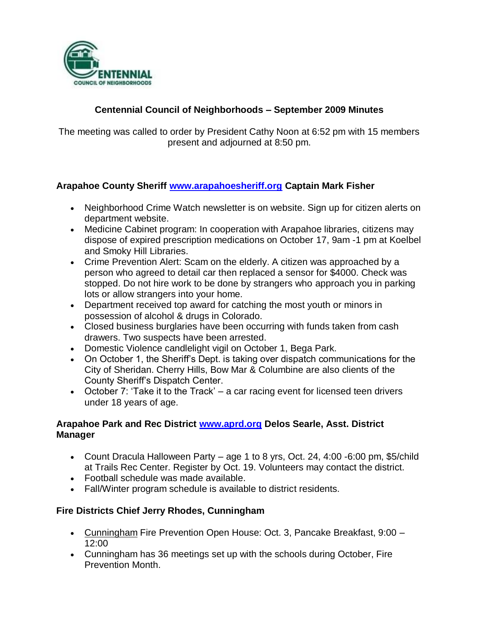

## **Centennial Council of Neighborhoods – September 2009 Minutes**

The meeting was called to order by President Cathy Noon at 6:52 pm with 15 members present and adjourned at 8:50 pm.

#### **Arapahoe County Sheriff [www.arapahoesheriff.org](http://www.arapahoesheriff.org/) Captain Mark Fisher**

- Neighborhood Crime Watch newsletter is on website. Sign up for citizen alerts on department website.
- Medicine Cabinet program: In cooperation with Arapahoe libraries, citizens may dispose of expired prescription medications on October 17, 9am -1 pm at Koelbel and Smoky Hill Libraries.
- Crime Prevention Alert: Scam on the elderly. A citizen was approached by a person who agreed to detail car then replaced a sensor for \$4000. Check was stopped. Do not hire work to be done by strangers who approach you in parking lots or allow strangers into your home.
- Department received top award for catching the most youth or minors in possession of alcohol & drugs in Colorado.
- Closed business burglaries have been occurring with funds taken from cash drawers. Two suspects have been arrested.
- Domestic Violence candlelight vigil on October 1, Bega Park.
- On October 1, the Sheriff's Dept. is taking over dispatch communications for the City of Sheridan. Cherry Hills, Bow Mar & Columbine are also clients of the County Sheriff's Dispatch Center.
- October 7: 'Take it to the Track'  $-$  a car racing event for licensed teen drivers under 18 years of age.

#### **Arapahoe Park and Rec District [www.aprd.org](http://www.aprd.org/) Delos Searle, Asst. District Manager**

- Count Dracula Halloween Party age 1 to 8 yrs, Oct. 24, 4:00 -6:00 pm, \$5/child at Trails Rec Center. Register by Oct. 19. Volunteers may contact the district.
- Football schedule was made available.
- Fall/Winter program schedule is available to district residents.

#### **Fire Districts Chief Jerry Rhodes, Cunningham**

- Cunningham Fire Prevention Open House: Oct. 3, Pancake Breakfast, 9:00 -12:00
- Cunningham has 36 meetings set up with the schools during October, Fire Prevention Month.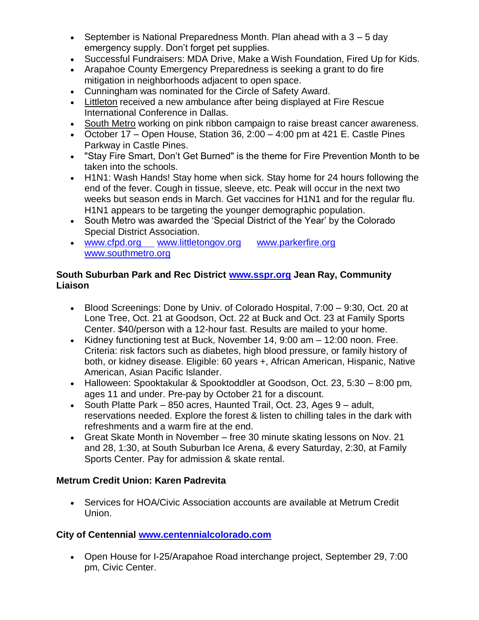- September is National Preparedness Month. Plan ahead with a  $3 5$  day emergency supply. Don't forget pet supplies.
- Successful Fundraisers: MDA Drive, Make a Wish Foundation, Fired Up for Kids.
- Arapahoe County Emergency Preparedness is seeking a grant to do fire mitigation in neighborhoods adjacent to open space.
- Cunningham was nominated for the Circle of Safety Award.
- Littleton received a new ambulance after being displayed at Fire Rescue International Conference in Dallas.
- South Metro working on pink ribbon campaign to raise breast cancer awareness.
- October 17 Open House, Station 36, 2:00 4:00 pm at 421 E. Castle Pines Parkway in Castle Pines.
- "Stay Fire Smart, Don't Get Burned" is the theme for Fire Prevention Month to be taken into the schools.
- H1N1: Wash Hands! Stay home when sick. Stay home for 24 hours following the end of the fever. Cough in tissue, sleeve, etc. Peak will occur in the next two weeks but season ends in March. Get vaccines for H1N1 and for the regular flu. H1N1 appears to be targeting the younger demographic population.
- South Metro was awarded the 'Special District of the Year' by the Colorado Special District Association.
- [www.cfpd.org](http://www.cfpd.org/) [www.littletongov.org](http://www.littletongov.org/) [www.parkerfire.org](http://www.parkerfire.org/)  [www.southmetro.org](http://www.southmetro.org/)

### **South Suburban Park and Rec District [www.sspr.org](http://www.sspr.org/) Jean Ray, Community Liaison**

- Blood Screenings: Done by Univ. of Colorado Hospital, 7:00 9:30, Oct. 20 at Lone Tree, Oct. 21 at Goodson, Oct. 22 at Buck and Oct. 23 at Family Sports Center. \$40/person with a 12-hour fast. Results are mailed to your home.
- Kidney functioning test at Buck, November 14, 9:00 am 12:00 noon. Free. Criteria: risk factors such as diabetes, high blood pressure, or family history of both, or kidney disease. Eligible: 60 years +, African American, Hispanic, Native American, Asian Pacific Islander.
- Halloween: Spooktakular & Spooktoddler at Goodson, Oct. 23, 5:30 8:00 pm, ages 11 and under. Pre-pay by October 21 for a discount.
- South Platte Park  $-850$  acres, Haunted Trail, Oct. 23, Ages  $9 -$  adult, reservations needed. Explore the forest & listen to chilling tales in the dark with refreshments and a warm fire at the end.
- Great Skate Month in November free 30 minute skating lessons on Nov. 21 and 28, 1:30, at South Suburban Ice Arena, & every Saturday, 2:30, at Family Sports Center. Pay for admission & skate rental.

# **Metrum Credit Union: Karen Padrevita**

• Services for HOA/Civic Association accounts are available at Metrum Credit Union.

# **City of Centennial [www.centennialcolorado.com](http://www.centennialcolorado.com/)**

 Open House for I-25/Arapahoe Road interchange project, September 29, 7:00 pm, Civic Center.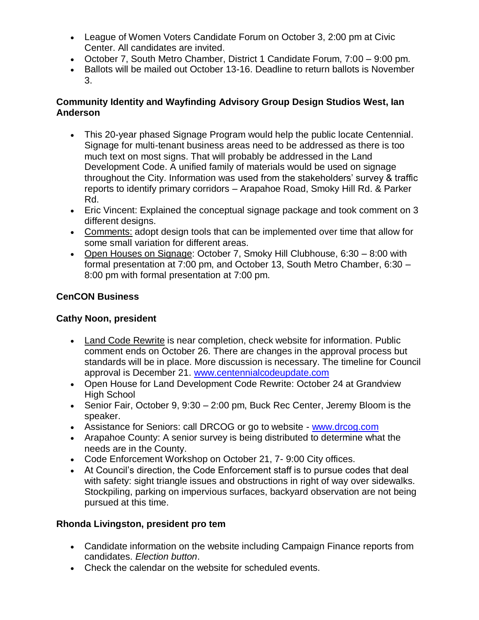- League of Women Voters Candidate Forum on October 3, 2:00 pm at Civic Center. All candidates are invited.
- October 7, South Metro Chamber, District 1 Candidate Forum, 7:00 9:00 pm.
- Ballots will be mailed out October 13-16. Deadline to return ballots is November 3.

#### **Community Identity and Wayfinding Advisory Group Design Studios West, Ian Anderson**

- This 20-year phased Signage Program would help the public locate Centennial. Signage for multi-tenant business areas need to be addressed as there is too much text on most signs. That will probably be addressed in the Land Development Code. A unified family of materials would be used on signage throughout the City. Information was used from the stakeholders' survey & traffic reports to identify primary corridors – Arapahoe Road, Smoky Hill Rd. & Parker Rd.
- Eric Vincent: Explained the conceptual signage package and took comment on 3 different designs.
- Comments: adopt design tools that can be implemented over time that allow for some small variation for different areas.
- Open Houses on Signage: October 7, Smoky Hill Clubhouse, 6:30 8:00 with formal presentation at 7:00 pm, and October 13, South Metro Chamber, 6:30 – 8:00 pm with formal presentation at 7:00 pm.

# **CenCON Business**

# **Cathy Noon, president**

- Land Code Rewrite is near completion, check website for information. Public comment ends on October 26. There are changes in the approval process but standards will be in place. More discussion is necessary. The timeline for Council approval is December 21. [www.centennialcodeupdate.com](http://www.centennialcodeupdate.com/)
- Open House for Land Development Code Rewrite: October 24 at Grandview High School
- Senior Fair, October 9, 9:30 2:00 pm, Buck Rec Center, Jeremy Bloom is the speaker.
- Assistance for Seniors: call DRCOG or go to website [www.drcog.com](http://www.drcog.com/)
- Arapahoe County: A senior survey is being distributed to determine what the needs are in the County.
- Code Enforcement Workshop on October 21, 7- 9:00 City offices.
- At Council's direction, the Code Enforcement staff is to pursue codes that deal with safety: sight triangle issues and obstructions in right of way over sidewalks. Stockpiling, parking on impervious surfaces, backyard observation are not being pursued at this time.

# **Rhonda Livingston, president pro tem**

- Candidate information on the website including Campaign Finance reports from candidates. *Election button*.
- Check the calendar on the website for scheduled events.